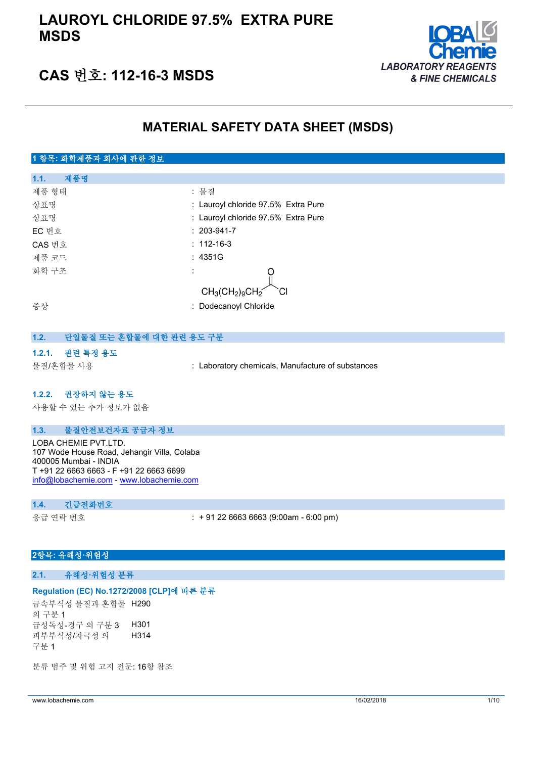### **LAUROYL CHLORIDE 97.5% EXTRA PURE MSDS**



### **CAS 번호: 112-16-3 MSDS**

### **MATERIAL SAFETY DATA SHEET (MSDS)**

### **1 항목: 화학제품과 회사에 관한 정보 1.1. 제품명** 제품 형태 : 기대 : 기대 : 물질 상표명 : Lauroyl chloride 97.5% Extra Pure 상표명 : Lauroyl chloride 97.5% Extra Pure EC 번호 : 203-941-7 CAS 번호 : 112-16-3 제품 코드 THE TELESCOPE ASSESS AND THE 2015 12:00 화학 구조 : ∩  $CH_3(CH_2)_9Cl$ 증상 : Dodecanoyl Chloride **1.2. 단일물질 또는 혼합물에 대한 관련 용도 구분**

### **1.2.1. 관련 특정 용도**

물질/혼합물 사용 : Laboratory chemicals, Manufacture of substances

#### **1.2.2. 권장하지 않는 용도**

사용할 수 있는 추가 정보가 없음

### **1.3. 물질안전보건자료 공급자 정보**

LOBA CHEMIE PVT.LTD. 107 Wode House Road, Jehangir Villa, Colaba 400005 Mumbai - INDIA T +91 22 6663 6663 - F +91 22 6663 6699 [info@lobachemie.com](mailto:info@lobachemie.com) - <www.lobachemie.com>

#### **1.4. 긴급전화번호**

응급 연락 번호 : + 91 22 6663 6663 (9:00am - 6:00 pm)

### **2항목: 유해성·위험성**

### **2.1. 유해성·위험성 분류**

#### **Regulation (EC) No.1272/2008 [CLP]에 따른 분류**

금속부식성 물질과 혼합물 H290 의 구분 1 급성독성-경구 의 구분 3 H301 피부부식성/자극성 의 구분 1 H314

분류 범주 및 위험 고지 전문: 16항 참조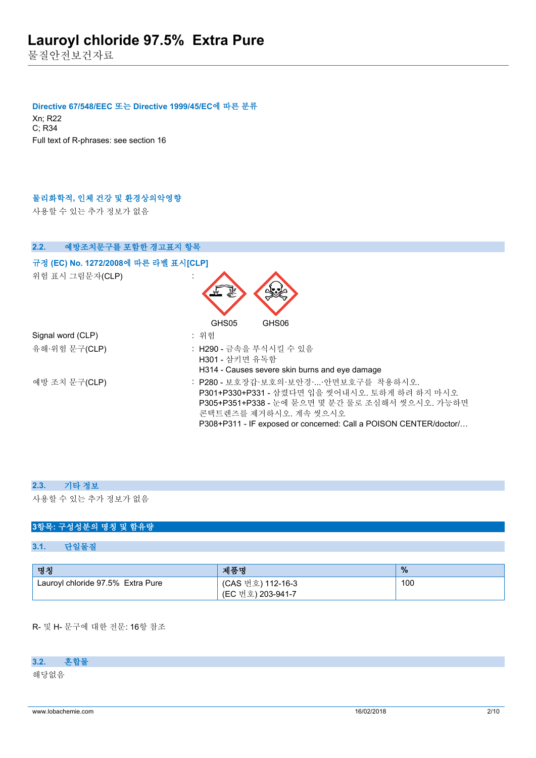물질안전보건자료

#### **Directive 67/548/EEC 또는 Directive 1999/45/EC에 따른 분류**

Xn; R22 C; R34 Full text of R-phrases: see section 16

### **물리화학적, 인체 건강 및 환경상의악영향**

사용할 수 있는 추가 정보가 없음

| 예방조치문구를 포함한 경고표지 항목<br>2.2.                             |                                                                                                                                                                                                                                        |
|---------------------------------------------------------|----------------------------------------------------------------------------------------------------------------------------------------------------------------------------------------------------------------------------------------|
| 규정 (EC) No. 1272/2008에 따른 라벨 표시[CLP]<br>위험 표시 그림문자(CLP) |                                                                                                                                                                                                                                        |
|                                                         | GHS05<br>GHS06                                                                                                                                                                                                                         |
| Signal word (CLP)                                       | : 위험                                                                                                                                                                                                                                   |
| 유해·위험 문구(CLP)                                           | : H290 - 금속을 부식시킬 수 있음<br>H301 - 삼키면 유독함<br>H314 - Causes severe skin burns and eye damage                                                                                                                                             |
| 예방 조치 문구(CLP)                                           | : P280 - 보호장갑·보호의·보안경··안면보호구를 착용하시오.<br>P301+P330+P331 - 삼켰다면 입을 씻어내시오. 토하게 하려 하지 마시오<br>P305+P351+P338 - 눈에 묻으면 몇 분간 물로 조심해서 씻으시오. 가능하면<br>콘택트렌즈를 제거하시오. 계속 씻으시오<br>P308+P311 - IF exposed or concerned: Call a POISON CENTER/doctor/ |

### **2.3. 기타 정보**

사용할 수 있는 추가 정보가 없음

### **3항목: 구성성분의 명칭 및 함유량**

### **3.1. 단일물질**

| 명칭                                | 제품명                                    | $\frac{9}{6}$ |
|-----------------------------------|----------------------------------------|---------------|
| Lauroyl chloride 97.5% Extra Pure | (CAS 번호) 112-16-3<br>(EC 번호) 203-941-7 | 100           |

R- 및 H- 문구에 대한 전문: 16항 참조

### **3.2. 혼합물**

해당없음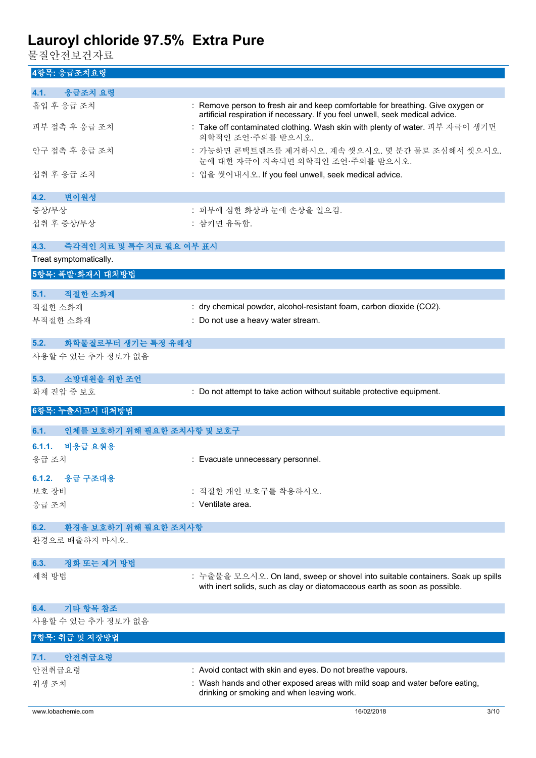물질안전보건자료

**4항목: 응급조치요령**

| 4.1.<br>응급조치 요령                                |                                                                                                                                                                  |
|------------------------------------------------|------------------------------------------------------------------------------------------------------------------------------------------------------------------|
|                                                |                                                                                                                                                                  |
| 흡입 후 응급 조치                                     | : Remove person to fresh air and keep comfortable for breathing. Give oxygen or<br>artificial respiration if necessary. If you feel unwell, seek medical advice. |
| 피부 접촉 후 응급 조치                                  | : Take off contaminated clothing. Wash skin with plenty of water. 피부 자극이 생기면<br>의학적인 조언·주의를 받으시오.                                                                |
| 안구 접촉 후 응급 조치                                  | : 가능하면 콘택트렌즈를 제거하시오. 계속 씻으시오. 몇 분간 물로 조심해서 씻으시오.<br>눈에 대한 자극이 지속되면 의학적인 조언·주의를 받으시오.                                                                             |
| 섭취 후 응급 조치                                     | : 입을 씻어내시오. If you feel unwell, seek medical advice.                                                                                                             |
| 변이원성<br>4.2.                                   |                                                                                                                                                                  |
| 증상/부상                                          | : 피부에 심한 화상과 눈에 손상을 일으킴.                                                                                                                                         |
| 섭취 후 증상/부상                                     | : 삼키면 유독함.                                                                                                                                                       |
| 4.3.<br>즉각적인 치료 및 특수 치료 필요 여부 표시               |                                                                                                                                                                  |
| Treat symptomatically.                         |                                                                                                                                                                  |
| 5항목: 폭발·화재시 대처방법                               |                                                                                                                                                                  |
| 적절한 소화제<br>5.1.                                |                                                                                                                                                                  |
| 적절한 소화제                                        | : dry chemical powder, alcohol-resistant foam, carbon dioxide (CO2).                                                                                             |
| 부적절한 소화재                                       | : Do not use a heavy water stream.                                                                                                                               |
|                                                |                                                                                                                                                                  |
| 화학물질로부터 생기는 특정 유해성<br>5.2.                     |                                                                                                                                                                  |
| 사용할 수 있는 추가 정보가 없음                             |                                                                                                                                                                  |
| 소방대원을 위한 조언<br>5.3.                            |                                                                                                                                                                  |
| 화재 진압 중 보호                                     | : Do not attempt to take action without suitable protective equipment.                                                                                           |
|                                                |                                                                                                                                                                  |
| 6항목: 누출사고시 대처방법                                |                                                                                                                                                                  |
| 인체를 보호하기 위해 필요한 조치사항 및 보호구<br>6.1.             |                                                                                                                                                                  |
| 비응급 요원용<br>6.1.1.                              |                                                                                                                                                                  |
| 응급 조치                                          | : Evacuate unnecessary personnel.                                                                                                                                |
| 6.1.2. 응급 구조대용                                 |                                                                                                                                                                  |
| 보호 장비                                          | : 적절한 개인 보호구를 착용하시오.                                                                                                                                             |
| 응급 조치                                          | : Ventilate area.                                                                                                                                                |
|                                                |                                                                                                                                                                  |
| 환경을 보호하기 위해 필요한 조치사항<br>6.2.<br>환경으로 배출하지 마시오. |                                                                                                                                                                  |
|                                                |                                                                                                                                                                  |
| 정화 또는 제거 방법<br>6.3.                            |                                                                                                                                                                  |
| 세척 방법                                          | : 누출물을 모으시오. On land, sweep or shovel into suitable containers. Soak up spills<br>with inert solids, such as clay or diatomaceous earth as soon as possible.     |
| 기타 항목 참조<br>6.4.                               |                                                                                                                                                                  |
| 사용할 수 있는 추가 정보가 없음                             |                                                                                                                                                                  |
| 7항목: 취급 및 저장방법                                 |                                                                                                                                                                  |
|                                                |                                                                                                                                                                  |
| 안전취급요령<br>7.1.                                 |                                                                                                                                                                  |
| 안전취급요령                                         | : Avoid contact with skin and eyes. Do not breathe vapours.                                                                                                      |
| 위생 조치                                          | : Wash hands and other exposed areas with mild soap and water before eating,<br>drinking or smoking and when leaving work.                                       |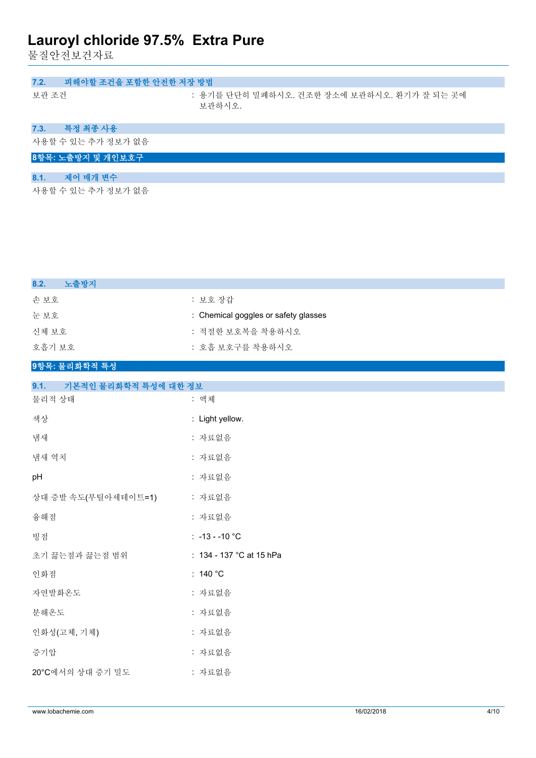물질안전보건자료

| 피해야할 조건을 포함한 안전한 저장 방법<br>7.2. |                                                       |
|--------------------------------|-------------------------------------------------------|
| 보관 조건                          | : 용기를 단단히 밀폐하시오. 건조한 장소에 보관하시오. 환기가 잘 되는 곳에<br>보관하시오. |
| 특정 최종 사용<br>7.3.               |                                                       |
| 사용할 수 있는 추가 정보가 없음             |                                                       |
| 8항목: 노출방지 및 개인보호구              |                                                       |
| 제어 매개 변수<br>8.1.               |                                                       |
| 사용할 수 있는 추가 정보가 없음             |                                                       |

| 8.2.<br>노출방지  |                                      |
|---------------|--------------------------------------|
| 손보호           | : 보호 장갑                              |
| 눈 보호          | : Chemical goggles or safety glasses |
| 신체 보호         | : 적절한 보호복을 착용하시오                     |
| 호흡기 보호        | : 호흡 보호구를 착용하시오                      |
| 9항목: 물리화학적 특성 |                                      |

| 9.1.<br>기본적인 물리화학적 특성에 대한 정보 |                          |
|------------------------------|--------------------------|
| 물리적 상태                       | : 액체                     |
| 색상                           | : Light yellow.          |
| 냄새                           | : 자료없음                   |
| 냄새 역치                        | : 자료없음                   |
| pH                           | : 자료없음                   |
| 상대 증발 속도(부틸아세테이트=1)          | : 자료없음                   |
| 융해점                          | : 자료없음                   |
| 빙점                           | $: -13 - -10$ °C         |
| 초기 끓는점과 끓는점 범위               | : 134 - 137 °C at 15 hPa |
| 인화점                          | : $140 °C$               |
| 자연발화온도                       | : 자료없음                   |
| 분해온도                         | : 자료없음                   |
| 인화성(고체, 기체)                  | : 자료없음                   |
| 증기압                          | : 자료없음                   |

20°C에서의 상대 증기 밀도 : 자료없음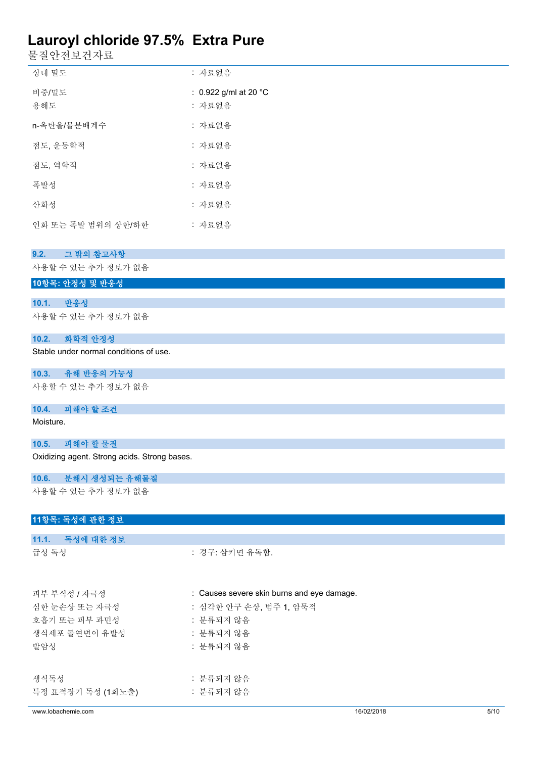물질안전보건자료

| 상대 밀도              | : 자료없음                                    |
|--------------------|-------------------------------------------|
| 비중/밀도<br>용해도       | : 0.922 g/ml at 20 $^{\circ}$ C<br>: 자료없음 |
| n-옥탄올/물분배계수        | : 자료없음                                    |
| 점도, 운동학적           | : 자료없음                                    |
| 점도, 역학적            | : 자료없음                                    |
| 폭발성                | : 자료없음                                    |
| 산화성                | : 자료없음                                    |
| 인화 또는 폭발 범위의 상한/하한 | : 자료없음                                    |

#### **9.2. 그 밖의 참고사항**

사용할 수 있는 추가 정보가 없음

### **10항목: 안정성 및 반응성**

**10.1. 반응성**

사용할 수 있는 추가 정보가 없음

#### **10.2. 화학적 안정성**

Stable under normal conditions of use.

### **10.3. 유해 반응의 가능성**

사용할 수 있는 추가 정보가 없음

### **10.4. 피해야 할 조건**

Moisture.

### **10.5. 피해야 할 물질**

Oxidizing agent. Strong acids. Strong bases.

### **10.6. 분해시 생성되는 유해물질**

사용할 수 있는 추가 정보가 없음

### **11항목: 독성에 관한 정보**

| 11.1. 독성에 대한 정보           |                                            |
|---------------------------|--------------------------------------------|
| 급성 독성                     | : 경구: 삼키면 유독함.                             |
| 피부 부식성 / 자극성              | : Causes severe skin burns and eye damage. |
| 심한 눈손상 또는 자극성             | : 심각한 안구 손상, 범주 1, 암묵적                     |
| 호흡기 또는 피부 과민성             | : 분류되지 않음                                  |
| 생식세포 돌연변이 유발성             | : 분류되지 않음                                  |
| 발암성                       | : 분류되지 않음                                  |
| 생식독성<br>특정 표적장기 독성 (1회노출) | : 분류되지 않음<br>: 분류되지 않음                     |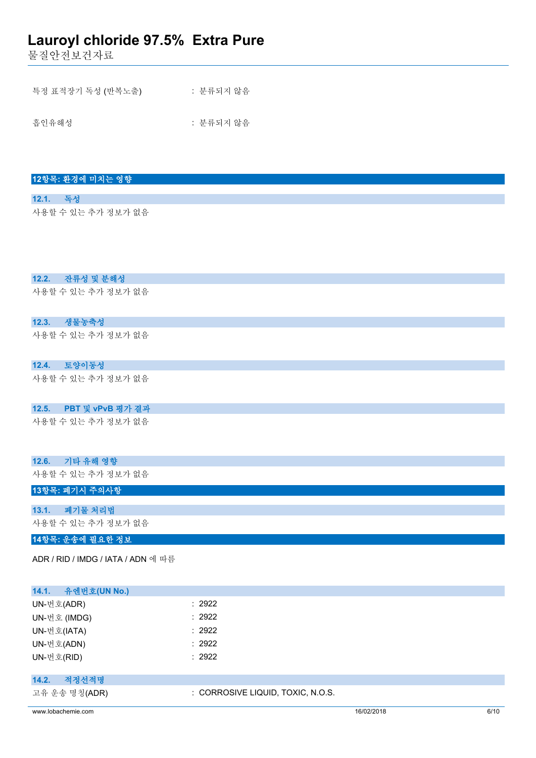물질안전보건자료

|  | 특정 표적장기 독성 (반복노출) |  | : 분류되지 않음 |  |
|--|-------------------|--|-----------|--|
|  |                   |  |           |  |
|  |                   |  |           |  |

흡인유해성 : 분류되지 않음

| 12항목: 환경에 미치는 영향 |  |  |
|------------------|--|--|
|                  |  |  |

**12.1. 독성** 사용할 수 있는 추가 정보가 없음

**12.2. 잔류성 및 분해성**

사용할 수 있는 추가 정보가 없음

### **12.3. 생물농축성**

사용할 수 있는 추가 정보가 없음

**12.4. 토양이동성**

사용할 수 있는 추가 정보가 없음

### **12.5. PBT 및 vPvB 평가 결과**

사용할 수 있는 추가 정보가 없음

### **12.6. 기타 유해 영향**

사용할 수 있는 추가 정보가 없음

### **13항목: 폐기시 주의사항**

### **13.1. 폐기물 처리법**

사용할 수 있는 추가 정보가 없음

**14항목: 운송에 필요한 정보**

ADR / RID / IMDG / IATA / ADN 에 따름

| 14.1.<br>유엔번호(UN No.) |                                   |
|-----------------------|-----------------------------------|
| UN-번호(ADR)            | : 2922                            |
| UN-번호 (IMDG)          | : 2922                            |
| UN-번호(IATA)           | : 2922                            |
| UN-번호(ADN)            | : 2922                            |
| UN-번호(RID)            | : 2922                            |
|                       |                                   |
| 적정선적명<br>14.2.        |                                   |
| 고유 운송 명칭(ADR)         | : CORROSIVE LIQUID, TOXIC, N.O.S. |

www.lobachemie.com 6/10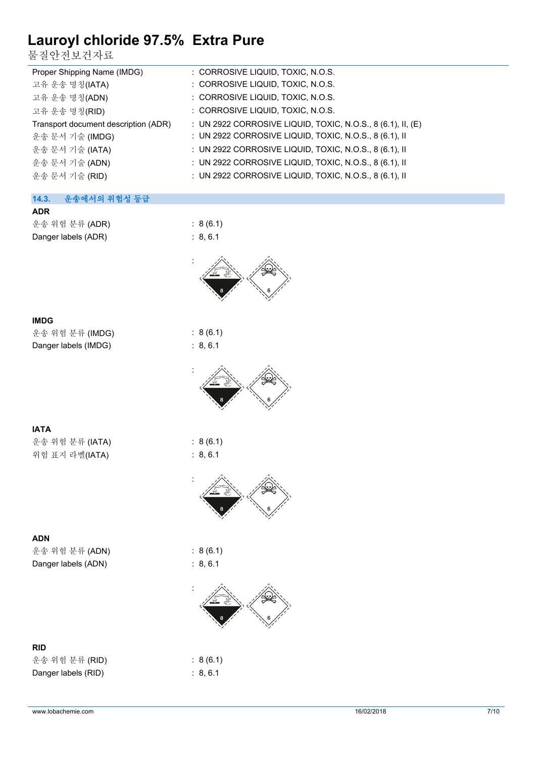물질안전보건자료

| Proper Shipping Name (IMDG)          | : CORROSIVE LIQUID, TOXIC, N.O.S.                           |
|--------------------------------------|-------------------------------------------------------------|
| 고유 운송 명칭(IATA)                       | : CORROSIVE LIQUID, TOXIC, N.O.S.                           |
| 고유 운송 명칭(ADN)                        | : CORROSIVE LIQUID, TOXIC, N.O.S.                           |
| 고유 운송 명칭(RID)                        | : CORROSIVE LIQUID, TOXIC, N.O.S.                           |
| Transport document description (ADR) | : UN 2922 CORROSIVE LIQUID, TOXIC, N.O.S., 8 (6.1), II, (E) |
| 운송 문서 기술 (IMDG)                      | : UN 2922 CORROSIVE LIQUID, TOXIC, N.O.S., 8 (6.1), II      |
| 운송 문서 기술 (IATA)                      | : UN 2922 CORROSIVE LIQUID, TOXIC, N.O.S., 8 (6.1), II      |
| 운송 문서 기술 (ADN)                       | : UN 2922 CORROSIVE LIQUID, TOXIC, N.O.S., 8 (6.1), II      |
| 운송 문서 기술 (RID)                       | : UN 2922 CORROSIVE LIQUID, TOXIC, N.O.S., 8 (6.1), II      |
|                                      |                                                             |

### **14.3. 운송에서의 위험성 등급**

**ADR** 운송 위험 분류 (ADR) : 8 (6.1) Danger labels (ADR) : 8, 6.1





| IMDG |      |  |
|------|------|--|
|      | AL-3 |  |

| 운송 위험 분류 (IMDG)      |  |
|----------------------|--|
| Danger labels (IMDG) |  |



|--|

운송 위험 분류 (IATA) : 8 (6.1) 위험 표지 라벨(IATA) : 8, 6.1



운송 위험 분류 (ADN) : 8 (6.1)

### **ADN**

Danger labels (ADN) : 8, 6.1

### **RID**

운송 위험 분류 (RID) : 8 (6.1) Danger labels (RID) : 8, 6.1





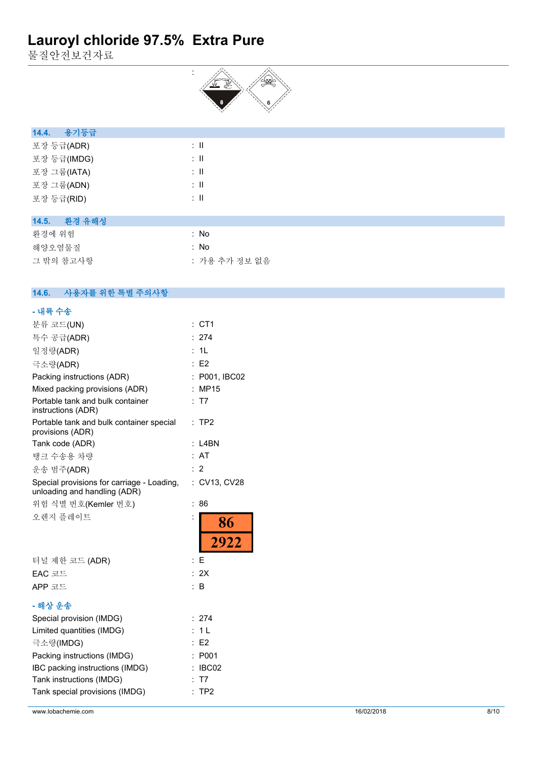물질안전보건자료



| 용기등급<br>14.4. |                             |  |  |
|---------------|-----------------------------|--|--|
| 포장 등급(ADR)    | ÷Ш                          |  |  |
| 포장 등급(IMDG)   | $\therefore$ $\blacksquare$ |  |  |
| 포장 그룹(IATA)   | ÷Ш                          |  |  |
| 포장 그룹(ADN)    | ÷Ш                          |  |  |
| 포장 등급(RID)    | ÷Ш                          |  |  |
|               |                             |  |  |

### **14.5. 환경 유해성**

| 환경에 위험    | : No          |
|-----------|---------------|
| 해양오염물질    | : No          |
| 그 밖의 참고사항 | : 가용 추가 정보 없음 |

#### $14.6.$ **14.6. 사용자를 위한 특별 주의사항**

| - 내륙 수송                                                                    |                            |
|----------------------------------------------------------------------------|----------------------------|
| 분류 코드(UN)                                                                  | $:$ CT1                    |
| 특수 공급(ADR)                                                                 | : 274                      |
| 일정량(ADR)                                                                   | : 1L                       |
| 극소량(ADR)                                                                   | : E2                       |
| Packing instructions (ADR)                                                 | : P001, IBC02              |
| Mixed packing provisions (ADR)                                             | <b>MP15</b>                |
| Portable tank and bulk container<br>instructions (ADR)                     | T7                         |
| Portable tank and bulk container special<br>provisions (ADR)               | TP <sub>2</sub><br>t.      |
| Tank code (ADR)                                                            | $:$ L4BN                   |
| 탱크 수송용 차량                                                                  | : AT                       |
| 운송 범주(ADR)                                                                 | : 2                        |
| Special provisions for carriage - Loading,<br>unloading and handling (ADR) | : CV13, CV28               |
| 위험 식별 번호(Kemler 번호)                                                        | 86<br>$\ddot{\phantom{a}}$ |
| 오렌지 플레이트                                                                   | 86                         |
|                                                                            | 2922                       |
| 터널 제한 코드 (ADR)                                                             | Е<br>÷                     |
| EAC 코드                                                                     | : 2X                       |
| APP 코드                                                                     | B                          |
| - 해상 운송                                                                    |                            |
| Special provision (IMDG)                                                   | 274                        |
| Limited quantities (IMDG)                                                  | 1 <sub>L</sub>             |
| 극소량(IMDG)                                                                  | E <sub>2</sub>             |
| Packing instructions (IMDG)                                                | P001                       |
| IBC packing instructions (IMDG)                                            | IBC02                      |
| Tank instructions (IMDG)                                                   | T7                         |
| Tank special provisions (IMDG)                                             | TP <sub>2</sub>            |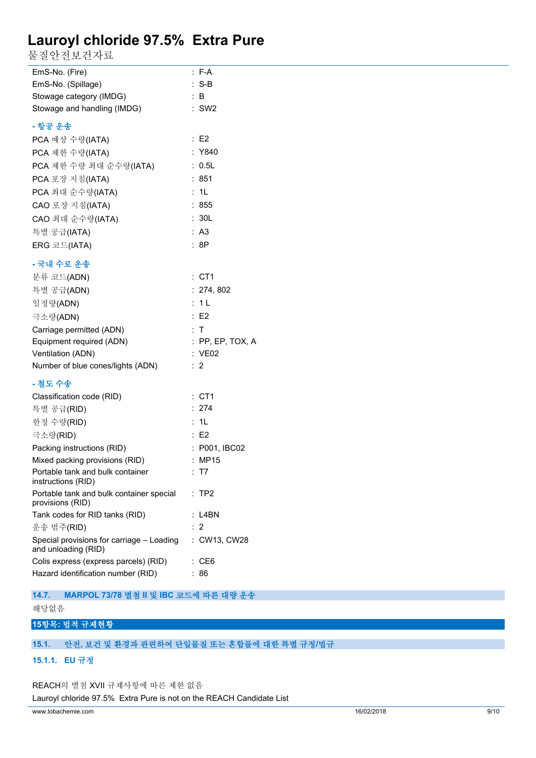물질안전보건자료

| EmS-No. (Fire)                                                   | $: F-A$            |
|------------------------------------------------------------------|--------------------|
| EmS-No. (Spillage)                                               | $: S-B$            |
| Stowage category (IMDG)                                          | :B                 |
| Stowage and handling (IMDG)                                      | $:$ SW2            |
| - 항공 운송                                                          |                    |
| PCA 예상 수량(IATA)                                                  | $\therefore$ E2    |
| PCA 제한 수량(IATA)                                                  | : Y840             |
| PCA 제한 수량 최대 순수량(IATA)                                           | : 0.5L             |
| PCA 포장 지침(IATA)                                                  | : 851              |
| PCA 최대 순수량(IATA)                                                 | : 1L               |
| CAO 포장 지침(IATA)                                                  | : 855              |
| CAO 최대 순수량(IATA)                                                 | : 30L              |
| 특별 공급(IATA)                                                      | : A3               |
| ERG 코드(IATA)                                                     | :8P                |
| - 국내 수로 운송                                                       |                    |
| 분류 코드(ADN)                                                       | $:$ CT1            |
| 특별 공급(ADN)                                                       | : 274, 802         |
| 일정량(ADN)                                                         | : 1L               |
| 극소량(ADN)                                                         | E2                 |
| Carriage permitted (ADN)                                         | : T                |
| Equipment required (ADN)                                         | $:$ PP, EP, TOX, A |
| Ventilation (ADN)                                                | : VE02             |
| Number of blue cones/lights (ADN)                                | $\therefore$ 2     |
| - 철도 수송                                                          |                    |
| Classification code (RID)                                        | $:$ CT1            |
| 특별 공급(RID)                                                       | : 274              |
| 한정 수량(RID)                                                       | : 1L               |
| 극소량(RID)                                                         | : E2               |
| Packing instructions (RID)                                       | : P001, IBC02      |
| Mixed packing provisions (RID)                                   | : MP15             |
| Portable tank and bulk container<br>instructions (RID)           | : T7               |
| Portable tank and bulk container special<br>provisions (RID)     | TP <sub>2</sub>    |
| Tank codes for RID tanks (RID)                                   | L4BN               |
| 운송 범주(RID)                                                       | 2                  |
| Special provisions for carriage - Loading<br>and unloading (RID) | : CW13, CW28       |
| Colis express (express parcels) (RID)                            | : CE6              |
| Hazard identification number (RID)                               | 86                 |

**14.7. MARPOL 73/78 별첨 II 및 IBC 코드에 따른 대량 운송**

해당없음

### **15항목: 법적 규제현황**

### **15.1. 안전, 보건 및 환경과 관련하여 단일물질 또는 혼합물에 대한 특별 규정/법규**

### **15.1.1. EU 규정**

REACH의 별첨 XVII 규제사항에 따른 제한 없음

Lauroyl chloride 97.5% Extra Pure is not on the REACH Candidate List